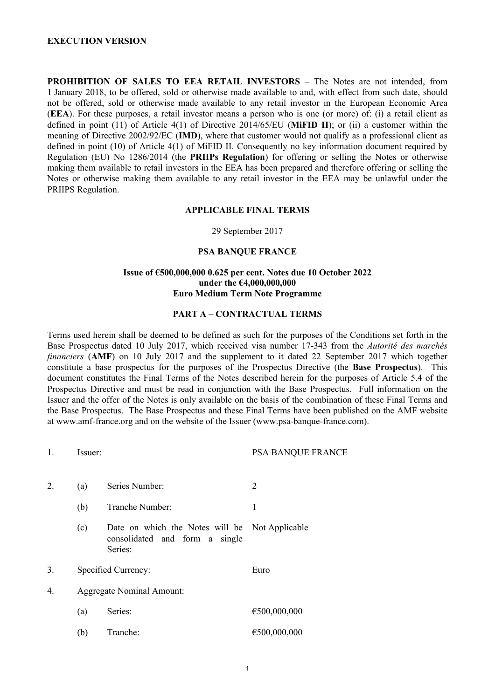#### **EXECUTION VERSION**

**PROHIBITION OF SALES TO EEA RETAIL INVESTORS** – The Notes are not intended, from 1 January 2018, to be offered, sold or otherwise made available to and, with effect from such date, should not be offered, sold or otherwise made available to any retail investor in the European Economic Area (**EEA**). For these purposes, a retail investor means a person who is one (or more) of: (i) a retail client as defined in point (11) of Article 4(1) of Directive 2014/65/EU (**MiFID II**); or (ii) a customer within the meaning of Directive 2002/92/EC (**IMD**), where that customer would not qualify as a professional client as defined in point (10) of Article 4(1) of MiFID II. Consequently no key information document required by Regulation (EU) No 1286/2014 (the **PRIIPs Regulation**) for offering or selling the Notes or otherwise making them available to retail investors in the EEA has been prepared and therefore offering or selling the Notes or otherwise making them available to any retail investor in the EEA may be unlawful under the PRIIPS Regulation.

#### **APPLICABLE FINAL TERMS**

29 September 2017

#### **PSA BANQUE FRANCE**

#### **Issue of €500,000,000 0.625 per cent. Notes due 10 October 2022 under the €4,000,000,000 Euro Medium Term Note Programme**

#### **PART A – CONTRACTUAL TERMS**

Terms used herein shall be deemed to be defined as such for the purposes of the Conditions set forth in the Base Prospectus dated 10 July 2017, which received visa number 17-343 from the *Autorité des marchés financiers* (**AMF**) on 10 July 2017 and the supplement to it dated 22 September 2017 which together constitute a base prospectus for the purposes of the Prospectus Directive (the **Base Prospectus**). This document constitutes the Final Terms of the Notes described herein for the purposes of Article 5.4 of the Prospectus Directive and must be read in conjunction with the Base Prospectus. Full information on the Issuer and the offer of the Notes is only available on the basis of the combination of these Final Terms and the Base Prospectus. The Base Prospectus and these Final Terms have been published on the AMF website at www.amf-france.org and on the website of the Issuer (www.psa-banque-france.com).

| 1. | Issuer:             |                                                                                             | PSA BANQUE FRANCE |  |
|----|---------------------|---------------------------------------------------------------------------------------------|-------------------|--|
| 2. | (a)                 | Series Number:                                                                              | 2                 |  |
|    | (b)                 | Tranche Number:                                                                             | 1                 |  |
|    | (c)                 | Date on which the Notes will be Not Applicable<br>consolidated and form a single<br>Series: |                   |  |
| 3. | Specified Currency: |                                                                                             | Euro              |  |
| 4. |                     | <b>Aggregate Nominal Amount:</b>                                                            |                   |  |
|    | (a)                 | Series:                                                                                     | €500,000,000      |  |
|    | (b)                 | Tranche:                                                                                    | €500,000,000      |  |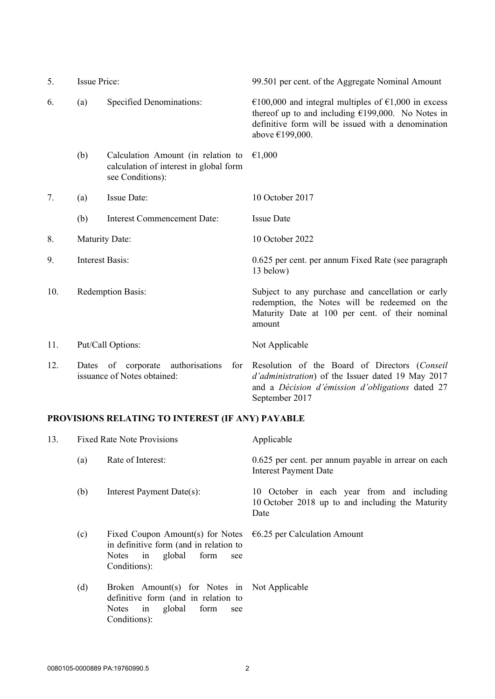| 5.  | <b>Issue Price:</b>                                                           |                                                                                                  | 99.501 per cent. of the Aggregate Nominal Amount                                                                                                                                     |
|-----|-------------------------------------------------------------------------------|--------------------------------------------------------------------------------------------------|--------------------------------------------------------------------------------------------------------------------------------------------------------------------------------------|
| 6.  | (a)                                                                           | Specified Denominations:                                                                         | €100,000 and integral multiples of €1,000 in excess<br>thereof up to and including $£199,000$ . No Notes in<br>definitive form will be issued with a denomination<br>above €199,000. |
|     | (b)                                                                           | Calculation Amount (in relation to<br>calculation of interest in global form<br>see Conditions): | €1,000                                                                                                                                                                               |
| 7.  | (a)                                                                           | Issue Date:                                                                                      | 10 October 2017                                                                                                                                                                      |
|     | (b)                                                                           | <b>Interest Commencement Date:</b>                                                               | <b>Issue Date</b>                                                                                                                                                                    |
| 8.  | <b>Maturity Date:</b>                                                         |                                                                                                  | 10 October 2022                                                                                                                                                                      |
| 9.  | <b>Interest Basis:</b>                                                        |                                                                                                  | 0.625 per cent. per annum Fixed Rate (see paragraph<br>13 below)                                                                                                                     |
| 10. | Redemption Basis:                                                             |                                                                                                  | Subject to any purchase and cancellation or early<br>redemption, the Notes will be redeemed on the<br>Maturity Date at 100 per cent. of their nominal<br>amount                      |
| 11. | Put/Call Options:                                                             |                                                                                                  | Not Applicable                                                                                                                                                                       |
| 12. | authorisations<br>Dates<br>of corporate<br>for<br>issuance of Notes obtained: |                                                                                                  | Resolution of the Board of Directors (Conseil<br>d'administration) of the Issuer dated 19 May 2017<br>and a Décision d'émission d'obligations dated 27<br>September 2017             |

# **PROVISIONS RELATING TO INTEREST (IF ANY) PAYABLE**

| 13. | <b>Fixed Rate Note Provisions</b> |                                                                                                                                                 | Applicable                                                                                             |  |
|-----|-----------------------------------|-------------------------------------------------------------------------------------------------------------------------------------------------|--------------------------------------------------------------------------------------------------------|--|
|     | (a)                               | Rate of Interest:                                                                                                                               | 0.625 per cent. per annum payable in arrear on each<br><b>Interest Payment Date</b>                    |  |
|     | (b)                               | Interest Payment Date(s):                                                                                                                       | 10 October in each year from and including<br>10 October 2018 up to and including the Maturity<br>Date |  |
|     | (c)                               | Fixed Coupon Amount(s) for Notes<br>in definitive form (and in relation to<br>in global<br><b>Notes</b><br>form<br>see<br>Conditions):          | $\epsilon$ 6.25 per Calculation Amount                                                                 |  |
|     | (d)                               | Broken Amount(s) for Notes in Not Applicable<br>definitive form (and in relation to<br>in global<br><b>Notes</b><br>form<br>see<br>Conditions): |                                                                                                        |  |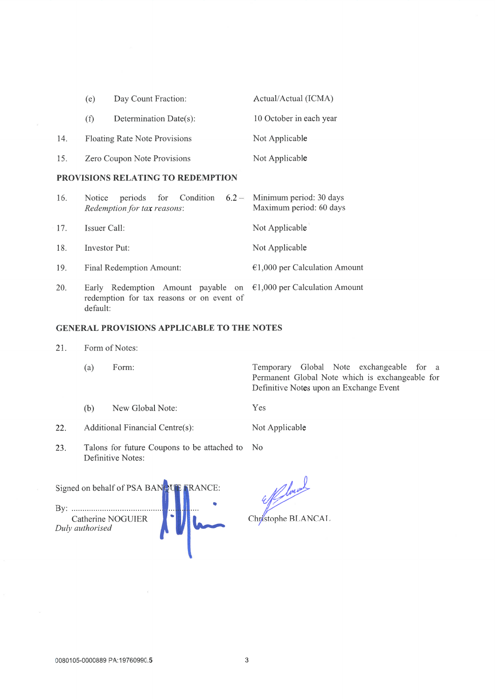|     | (e) | Day Count Fraction:                  | Actual/Actual (ICMA)    |
|-----|-----|--------------------------------------|-------------------------|
|     | (f) | Determination Date(s):               | 10 October in each year |
| 14. |     | <b>Floating Rate Note Provisions</b> | Not Applicable          |
| 15. |     | Zero Coupon Note Provisions          | Not Applicable          |

# PROVISIONS RELATING TO REDEMPTION

| 16. | periods for Condition<br>Notice<br>Redemption for tax reasons:                                                                      | $6.2 -$ Minimum period: 30 days<br>Maximum period: 60 days |
|-----|-------------------------------------------------------------------------------------------------------------------------------------|------------------------------------------------------------|
| 17. | Issuer Call:                                                                                                                        | Not Applicable                                             |
| 18. | Investor Put:                                                                                                                       | Not Applicable                                             |
| 19. | Final Redemption Amount:                                                                                                            | $€1,000$ per Calculation Amount                            |
| 20. | Early Redemption Amount payable on $\epsilon$ 1,000 per Calculation Amount<br>redemption for tax reasons or on event of<br>default: |                                                            |

# **GENERAL PROVISIONS APPLICABLE TO THE NOTES**

21. Form of Notes:

 $(b)$ 

 $\omega$ 

 $(a)$ Form: Temporary Global Note exchangeable for a Permanent Global Note which is exchangeable for Definitive Notes upon an Exchange Event

Yes

 $22.$ Additional Financial Centre(s):

23. Talons for future Coupons to be attached to N<sub>o</sub> Definitive Notes:

New Global Note:

Signed on behalf of PSA BANQU RANCE: Catherine NOGUIER Duly authorised

Chystophe BLANCAL

Not Applicable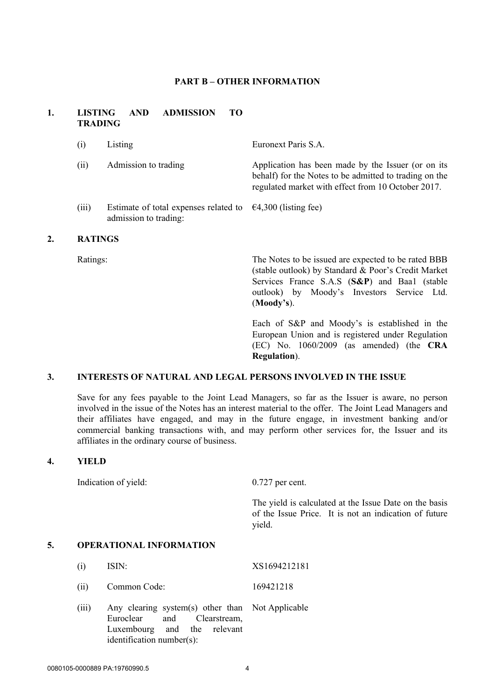#### **PART B – OTHER INFORMATION**

### **1. LISTING AND ADMISSION TO TRADING**

| <b>RATINGS</b> |                                                                                               |                                                                                                                                                                    |
|----------------|-----------------------------------------------------------------------------------------------|--------------------------------------------------------------------------------------------------------------------------------------------------------------------|
| (iii)          | Estimate of total expenses related to $\epsilon$ 4,300 (listing fee)<br>admission to trading: |                                                                                                                                                                    |
| (i)            | Admission to trading                                                                          | Application has been made by the Issuer (or on its<br>behalf) for the Notes to be admitted to trading on the<br>regulated market with effect from 10 October 2017. |
| (i)            | Listing                                                                                       | Euronext Paris S.A.                                                                                                                                                |

Ratings: The Notes to be issued are expected to be rated BBB (stable outlook) by Standard & Poor's Credit Market Services France S.A.S (**S&P**) and Baa1 (stable outlook) by Moody's Investors Service Ltd. (**Moody's**).

> Each of S&P and Moody's is established in the European Union and is registered under Regulation (EC) No. 1060/2009 (as amended) (the **CRA Regulation**).

## **3. INTERESTS OF NATURAL AND LEGAL PERSONS INVOLVED IN THE ISSUE**

Save for any fees payable to the Joint Lead Managers, so far as the Issuer is aware, no person involved in the issue of the Notes has an interest material to the offer. The Joint Lead Managers and their affiliates have engaged, and may in the future engage, in investment banking and/or commercial banking transactions with, and may perform other services for, the Issuer and its affiliates in the ordinary course of business.

# **4. YIELD**

Indication of yield: 0.727 per cent.

The yield is calculated at the Issue Date on the basis of the Issue Price. It is not an indication of future yield.

#### **5. OPERATIONAL INFORMATION**

(i) ISIN: XS1694212181

(ii) Common Code: 169421218

(iii) Any clearing system(s) other than Euroclear and Clearstream, Luxembourg and the relevant identification number(s): Not Applicable